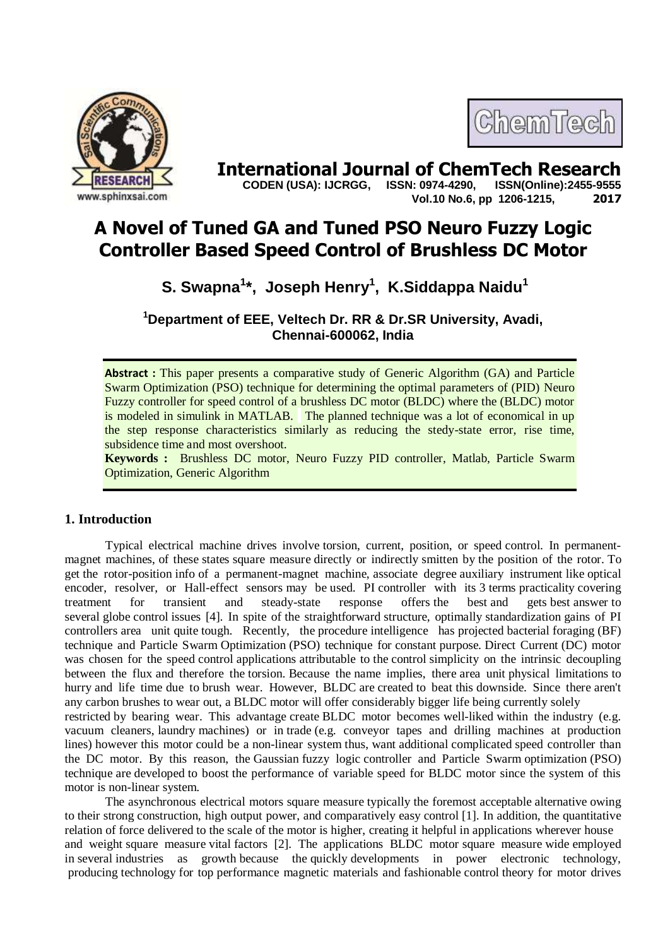



**International Journal of ChemTech Research CODEN (USA): IJCRGG. ISSN: 0974-4290. ISSN(Online):2455-9555 CODEN (USA): IJCRGG, ISSN: 0974-4290, Vol.10 No.6, pp 1206-1215, 2017**

# **A Novel of Tuned GA and Tuned PSO Neuro Fuzzy Logic Controller Based Speed Control of Brushless DC Motor**

# **S. Swapna<sup>1</sup> \*, Joseph Henry<sup>1</sup> , K.Siddappa Naidu<sup>1</sup>**

**<sup>1</sup>Department of EEE, Veltech Dr. RR & Dr.SR University, Avadi, Chennai-600062, India**

**Abstract :** This paper presents a comparative study of Generic Algorithm (GA) and Particle Swarm Optimization (PSO) technique for determining the optimal parameters of (PID) Neuro Fuzzy controller for speed control of a brushless DC motor (BLDC) where the (BLDC) motor is modeled in simulink in MATLAB. The planned technique was a lot of economical in up the step response characteristics similarly as reducing the stedy-state error, rise time, subsidence time and most overshoot.

**Keywords :** Brushless DC motor, Neuro Fuzzy PID controller, Matlab, Particle Swarm Optimization, Generic Algorithm

# **1. Introduction**

Typical electrical machine drives involve torsion, current, position, or speed control. In permanentmagnet machines, of these states square measure directly or indirectly smitten by the position of the rotor. To get the rotor-position info of a permanent-magnet machine, associate degree auxiliary instrument like optical encoder, resolver, or Hall-effect sensors may be used. PI controller with its 3 terms practicality covering treatment for transient and steady-state response offers the best and gets best answer to several globe control issues [4]. In spite of the straightforward structure, optimally standardization gains of PI controllers area unit quite tough. Recently, the procedure intelligence has projected bacterial foraging (BF) technique and Particle Swarm Optimization (PSO) technique for constant purpose. Direct Current (DC) motor was chosen for the speed control applications attributable to the control simplicity on the intrinsic decoupling between the flux and therefore the torsion. Because the name implies, there area unit physical limitations to hurry and life time due to brush wear. However, BLDC are created to beat this downside. Since there aren't any carbon brushes to wear out, a BLDC motor will offer considerably bigger life being currently solely

restricted by bearing wear. This advantage create BLDC motor becomes well-liked within the industry (e.g. vacuum cleaners, laundry machines) or in trade (e.g. conveyor tapes and drilling machines at production lines) however this motor could be a non-linear system thus, want additional complicated speed controller than the DC motor. By this reason, the Gaussian fuzzy logic controller and Particle Swarm optimization (PSO) technique are developed to boost the performance of variable speed for BLDC motor since the system of this motor is non-linear system.

The asynchronous electrical motors square measure typically the foremost acceptable alternative owing to their strong construction, high output power, and comparatively easy control [1]. In addition, the quantitative relation of force delivered to the scale of the motor is higher, creating it helpful in applications wherever house and weight square measure vital factors [2]. The applications BLDC motor square measure wide employed in several industries as growth because the quickly developments in power electronic technology, producing technology for top performance magnetic materials and fashionable control theory for motor drives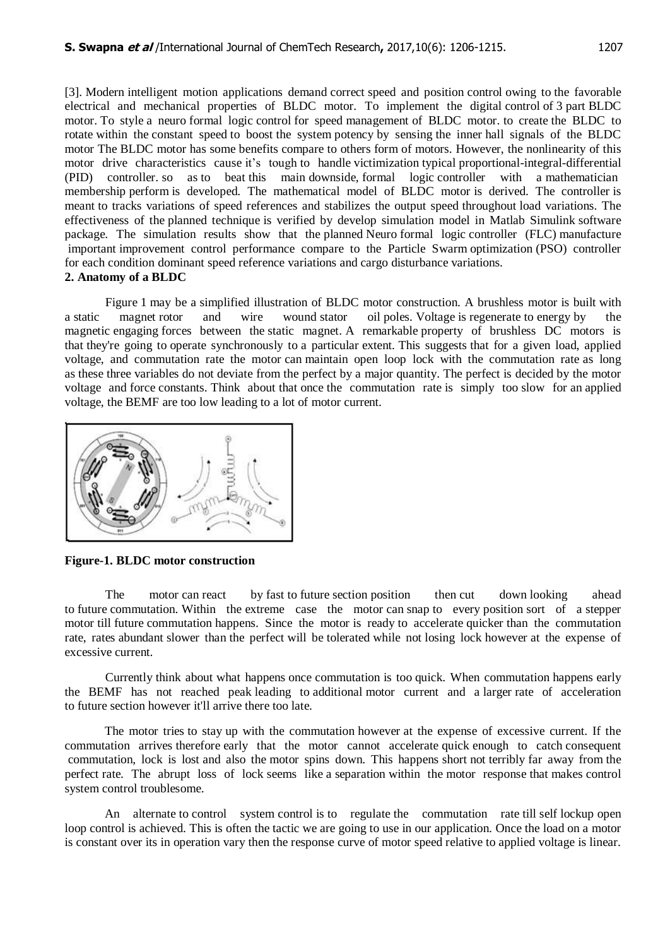[3]. Modern intelligent motion applications demand correct speed and position control owing to the favorable electrical and mechanical properties of BLDC motor. To implement the digital control of 3 part BLDC motor. To style a neuro formal logic control for speed management of BLDC motor. to create the BLDC to rotate within the constant speed to boost the system potency by sensing the inner hall signals of the BLDC motor The BLDC motor has some benefits compare to others form of motors. However, the nonlinearity of this motor drive characteristics cause it's tough to handle victimization typical proportional-integral-differential (PID) controller. so as to beat this main downside, formal logic controller with a mathematician membership perform is developed. The mathematical model of BLDC motor is derived. The controller is meant to tracks variations of speed references and stabilizes the output speed throughout load variations. The effectiveness of the planned technique is verified by develop simulation model in Matlab Simulink software package. The simulation results show that the planned Neuro formal logic controller (FLC) manufacture important improvement control performance compare to the Particle Swarm optimization (PSO) controller for each condition dominant speed reference variations and cargo disturbance variations. **2. Anatomy of a BLDC**

Figure 1 may be a simplified illustration of BLDC motor construction. A brushless motor is built with a static magnet rotor and wire wound stator oil poles. Voltage is regenerate to energy by the magnetic engaging forces between the static magnet. A remarkable property of brushless DC motors is that they're going to operate synchronously to a particular extent. This suggests that for a given load, applied voltage, and commutation rate the motor can maintain open loop lock with the commutation rate as long as these three variables do not deviate from the perfect by a major quantity. The perfect is decided by the motor voltage and force constants. Think about that once the commutation rate is simply too slow for an applied voltage, the BEMF are too low leading to a lot of motor current.



**Figure-1. BLDC motor construction** 

The motor can react by fast to future section position then cut down looking ahead to future commutation. Within the extreme case the motor can snap to every position sort of a stepper motor till future commutation happens. Since the motor is ready to accelerate quicker than the commutation rate, rates abundant slower than the perfect will be tolerated while not losing lock however at the expense of excessive current.

Currently think about what happens once commutation is too quick. When commutation happens early the BEMF has not reached peak leading to additional motor current and a larger rate of acceleration to future section however it'll arrive there too late.

The motor tries to stay up with the commutation however at the expense of excessive current. If the commutation arrives therefore early that the motor cannot accelerate quick enough to catch consequent commutation, lock is lost and also the motor spins down. This happens short not terribly far away from the perfect rate. The abrupt loss of lock seems like a separation within the motor response that makes control system control troublesome.

An alternate to control system control is to regulate the commutation rate till self lockup open loop control is achieved. This is often the tactic we are going to use in our application. Once the load on a motor is constant over its in operation vary then the response curve of motor speed relative to applied voltage is linear.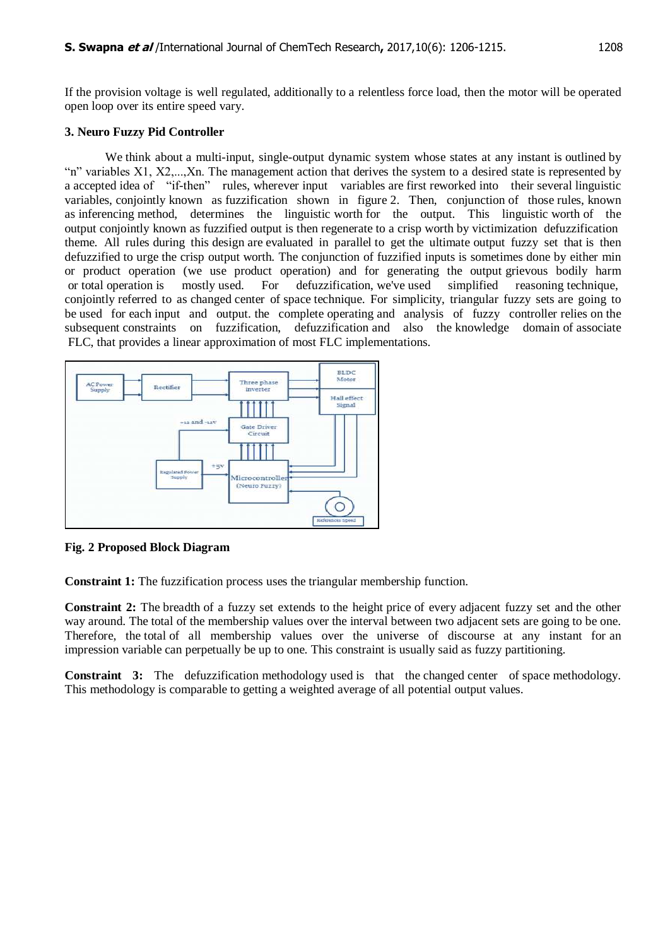If the provision voltage is well regulated, additionally to a relentless force load, then the motor will be operated open loop over its entire speed vary.

# **3. Neuro Fuzzy Pid Controller**

We think about a multi-input, single-output dynamic system whose states at any instant is outlined by "n" variables X1, X2,...,Xn. The management action that derives the system to a desired state is represented by a accepted idea of "if-then" rules, wherever input variables are first reworked into their several linguistic variables, conjointly known as fuzzification shown in figure 2. Then, conjunction of those rules, known as inferencing method, determines the linguistic worth for the output. This linguistic worth of the output conjointly known as fuzzified output is then regenerate to a crisp worth by victimization defuzzification theme. All rules during this design are evaluated in parallel to get the ultimate output fuzzy set that is then defuzzified to urge the crisp output worth. The conjunction of fuzzified inputs is sometimes done by either min or product operation (we use product operation) and for generating the output grievous bodily harm or total operation is mostly used. For defuzzification, we've used simplified reasoning technique, conjointly referred to as changed center of space technique. For simplicity, triangular fuzzy sets are going to be used for each input and output. the complete operating and analysis of fuzzy controller relies on the subsequent constraints on fuzzification, defuzzification and also the knowledge domain of associate FLC, that provides a linear approximation of most FLC implementations.



**Fig. 2 Proposed Block Diagram**

**Constraint 1:** The fuzzification process uses the triangular membership function.

**Constraint 2:** The breadth of a fuzzy set extends to the height price of every adjacent fuzzy set and the other way around. The total of the membership values over the interval between two adjacent sets are going to be one. Therefore, the total of all membership values over the universe of discourse at any instant for an impression variable can perpetually be up to one. This constraint is usually said as fuzzy partitioning.

**Constraint 3:** The defuzzification methodology used is that the changed center of space methodology. This methodology is comparable to getting a weighted average of all potential output values.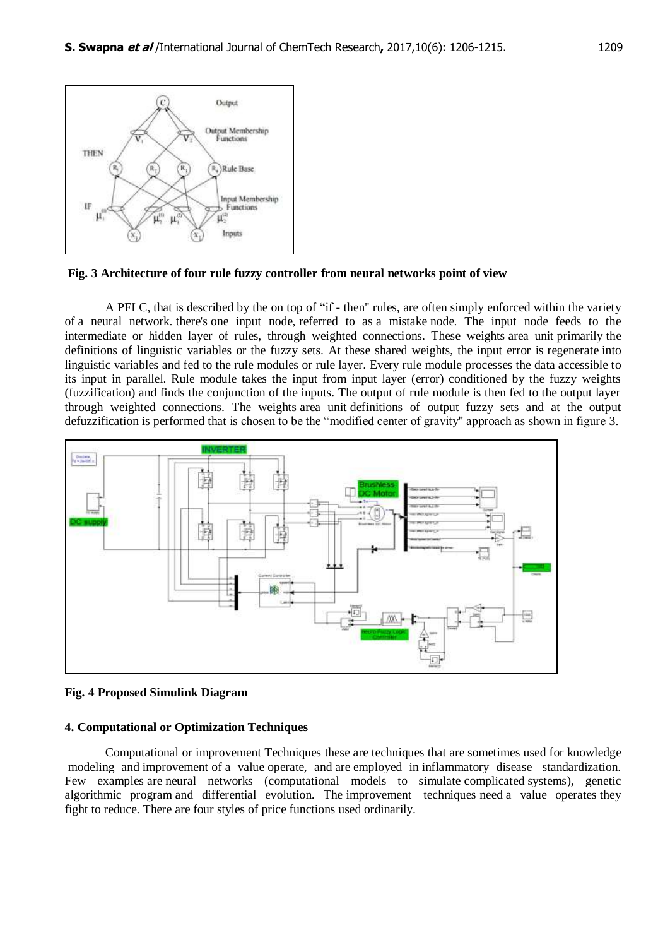

**Fig. 3 Architecture of four rule fuzzy controller from neural networks point of view**

A PFLC, that is described by the on top of "if - then'' rules, are often simply enforced within the variety of a neural network. there's one input node, referred to as a mistake node. The input node feeds to the intermediate or hidden layer of rules, through weighted connections. These weights area unit primarily the definitions of linguistic variables or the fuzzy sets. At these shared weights, the input error is regenerate into linguistic variables and fed to the rule modules or rule layer. Every rule module processes the data accessible to its input in parallel. Rule module takes the input from input layer (error) conditioned by the fuzzy weights (fuzzification) and finds the conjunction of the inputs. The output of rule module is then fed to the output layer through weighted connections. The weights area unit definitions of output fuzzy sets and at the output defuzzification is performed that is chosen to be the "modified center of gravity'' approach as shown in figure 3.



**Fig. 4 Proposed Simulink Diagram**

### **4. Computational or Optimization Techniques**

Computational or improvement Techniques these are techniques that are sometimes used for knowledge modeling and improvement of a value operate, and are employed in inflammatory disease standardization. Few examples are neural networks (computational models to simulate complicated systems), genetic algorithmic program and differential evolution. The improvement techniques need a value operates they fight to reduce. There are four styles of price functions used ordinarily.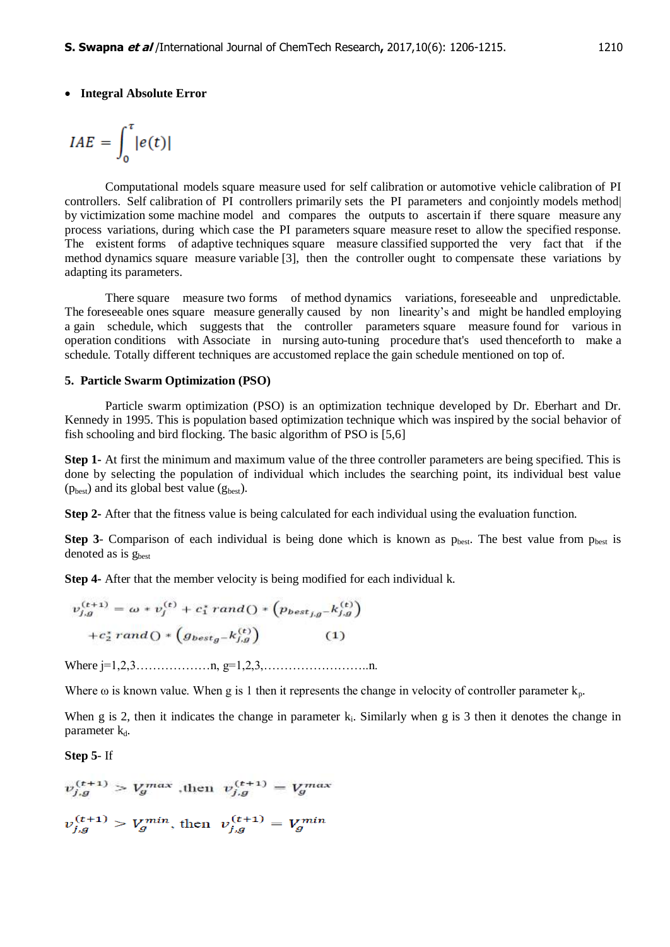## **Integral Absolute Error**

$$
IAE = \int_0^{\tau} |e(t)|
$$

Computational models square measure used for self calibration or automotive vehicle calibration of PI controllers. Self calibration of PI controllers primarily sets the PI parameters and conjointly models method| by victimization some machine model and compares the outputs to ascertain if there square measure any process variations, during which case the PI parameters square measure reset to allow the specified response. The existent forms of adaptive techniques square measure classified supported the very fact that if the method dynamics square measure variable [3], then the controller ought to compensate these variations by adapting its parameters.

There square measure two forms of method dynamics variations, foreseeable and unpredictable. The foreseeable ones square measure generally caused by non linearity's and might be handled employing a gain schedule, which suggests that the controller parameters square measure found for various in operation conditions with Associate in nursing auto-tuning procedure that's used thenceforth to make a schedule. Totally different techniques are accustomed replace the gain schedule mentioned on top of.

#### **5. Particle Swarm Optimization (PSO)**

Particle swarm optimization (PSO) is an optimization technique developed by Dr. Eberhart and Dr. Kennedy in 1995. This is population based optimization technique which was inspired by the social behavior of fish schooling and bird flocking. The basic algorithm of PSO is [5,6]

**Step 1-** At first the minimum and maximum value of the three controller parameters are being specified. This is done by selecting the population of individual which includes the searching point, its individual best value  $(p_{best})$  and its global best value  $(g_{best})$ .

**Step 2-** After that the fitness value is being calculated for each individual using the evaluation function.

**Step 3-** Comparison of each individual is being done which is known as  $p_{best}$ . The best value from  $p_{best}$  is denoted as is g<sub>best</sub>

**Step 4-** After that the member velocity is being modified for each individual k.

$$
v_{j,g}^{(t+1)} = \omega * v_j^{(t)} + c_1^* \, rand \bigcirc * \left( p_{best_{j,g}} - k_{j,g}^{(t)} \right) + c_2^* \, rand \bigcirc * \left( g_{best_g} - k_{j,g}^{(t)} \right) \tag{1}
$$

Where j=1,2,3………………n, g=1,2,3,……………………..n.

Where  $\omega$  is known value. When g is 1 then it represents the change in velocity of controller parameter  $k_p$ .

When g is 2, then it indicates the change in parameter  $k_i$ . Similarly when g is 3 then it denotes the change in parameter  $k_d$ .

**Step 5**- If

$$
v_{j,g}^{(t+1)} > V_g^{max}
$$
, then  $v_{j,g}^{(t+1)} = V_g^{max}$   
 $v_{j,g}^{(t+1)} > V_g^{min}$ , then  $v_{j,g}^{(t+1)} = V_g^{min}$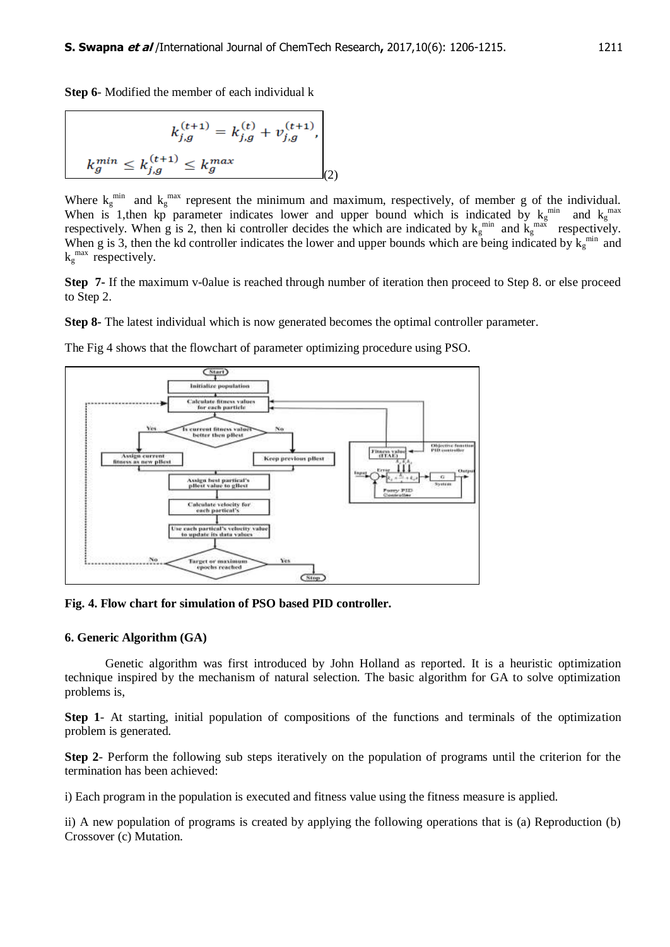**Step 6**- Modified the member of each individual k

$$
k_{j,g}^{(t+1)} = k_{j,g}^{(t)} + v_{j,g}^{(t+1)},
$$
  

$$
k_g^{min} \le k_{j,g}^{(t+1)} \le k_g^{max}
$$
 (2)

Where  $k_g^{\text{min}}$  and  $k_g^{\text{max}}$  represent the minimum and maximum, respectively, of member g of the individual. When is 1, then kp parameter indicates lower and upper bound which is indicated by  $k_g^{min}$  and  $k_g^{max}$ respectively. When g is 2, then ki controller decides the which are indicated by  $k_g^{min}$  and  $k_g^{max}$  respectively. When g is 3, then the kd controller indicates the lower and upper bounds which are being indicated by  $k_g^{min}$  and  $k_g^{\text{max}}$  respectively.

**Step 7-** If the maximum v-0alue is reached through number of iteration then proceed to Step 8. or else proceed to Step 2.

**Step 8-** The latest individual which is now generated becomes the optimal controller parameter.



The Fig 4 shows that the flowchart of parameter optimizing procedure using PSO.

**Fig. 4. Flow chart for simulation of PSO based PID controller.**

### **6. Generic Algorithm (GA)**

Genetic algorithm was first introduced by John Holland as reported. It is a heuristic optimization technique inspired by the mechanism of natural selection. The basic algorithm for GA to solve optimization problems is,

**Step 1**- At starting, initial population of compositions of the functions and terminals of the optimization problem is generated.

**Step 2**- Perform the following sub steps iteratively on the population of programs until the criterion for the termination has been achieved:

i) Each program in the population is executed and fitness value using the fitness measure is applied.

ii) A new population of programs is created by applying the following operations that is (a) Reproduction (b) Crossover (c) Mutation.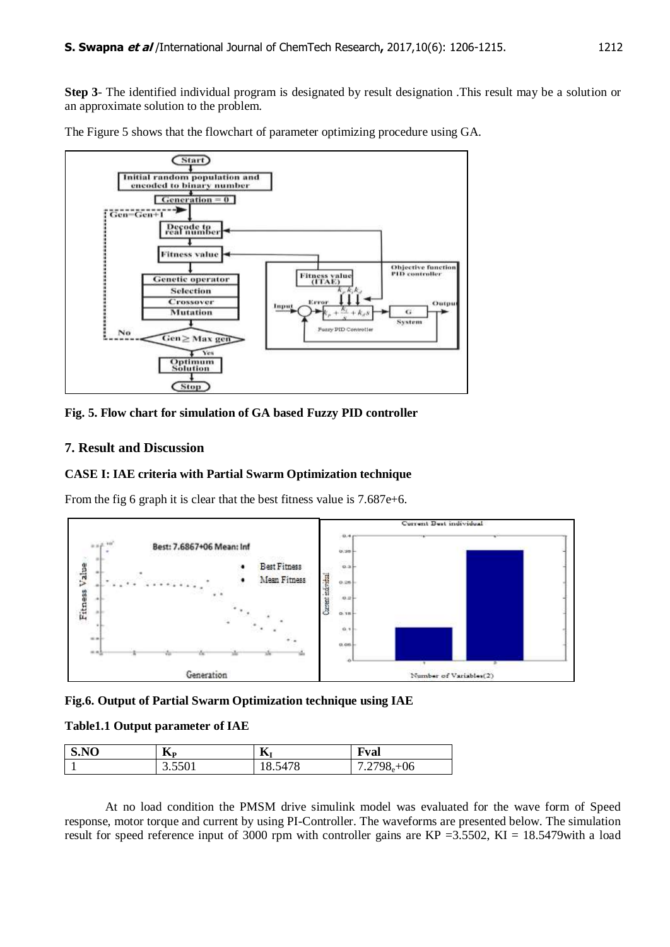**Step 3**- The identified individual program is designated by result designation .This result may be a solution or an approximate solution to the problem.

The Figure 5 shows that the flowchart of parameter optimizing procedure using GA.



**Fig. 5. Flow chart for simulation of GA based Fuzzy PID controller**

## **7. Result and Discussion**

## **CASE I: IAE criteria with Partial Swarm Optimization technique**

From the fig 6 graph it is clear that the best fitness value is 7.687e+6.



**Fig.6. Output of Partial Swarm Optimization technique using IAE**

## **Table1.1 Output parameter of IAE**

| S.NO | --<br>$\mathbf{D}$ | $\mathbf{r}$<br>Лı | t val                                  |
|------|--------------------|--------------------|----------------------------------------|
|      | 3.5501             | 5478<br>18.54      | $+06$<br>2708<br>-<br>$.21 \times 10e$ |

At no load condition the PMSM drive simulink model was evaluated for the wave form of Speed response, motor torque and current by using PI-Controller. The waveforms are presented below. The simulation result for speed reference input of 3000 rpm with controller gains are KP = 3.5502, KI = 18.5479 with a load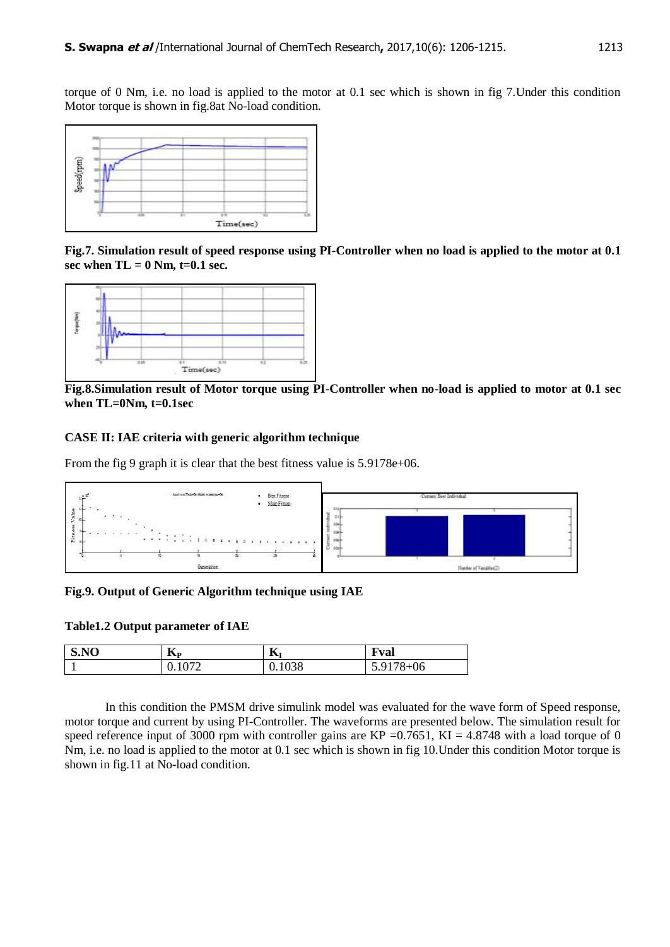torque of 0 Nm, i.e. no load is applied to the motor at 0.1 sec which is shown in fig 7.Under this condition Motor torque is shown in fig.8at No-load condition.



**Fig.7. Simulation result of speed response using PI-Controller when no load is applied to the motor at 0.1**  sec when  $TL = 0$  Nm,  $t=0.1$  sec.



**Fig.8.Simulation result of Motor torque using PI-Controller when no-load is applied to motor at 0.1 sec when TL=0Nm, t=0.1sec**

## **CASE II: IAE criteria with generic algorithm technique**

From the fig 9 graph it is clear that the best fitness value is  $5.9178e+06$ .



**Fig.9. Output of Generic Algorithm technique using IAE**

### **Table1.2 Output parameter of IAE**

| S.NO | $\mathbf{D}$       | $\mathbf{r}$<br>Δı | <b>Fval</b>         |
|------|--------------------|--------------------|---------------------|
|      | 1072<br>0. I V / 4 | 0.1038             | $.9178 + 06$<br>J.J |

In this condition the PMSM drive simulink model was evaluated for the wave form of Speed response, motor torque and current by using PI-Controller. The waveforms are presented below. The simulation result for speed reference input of 3000 rpm with controller gains are  $KP = 0.7651$ ,  $KI = 4.8748$  with a load torque of 0 Nm, i.e. no load is applied to the motor at 0.1 sec which is shown in fig 10.Under this condition Motor torque is shown in fig.11 at No-load condition.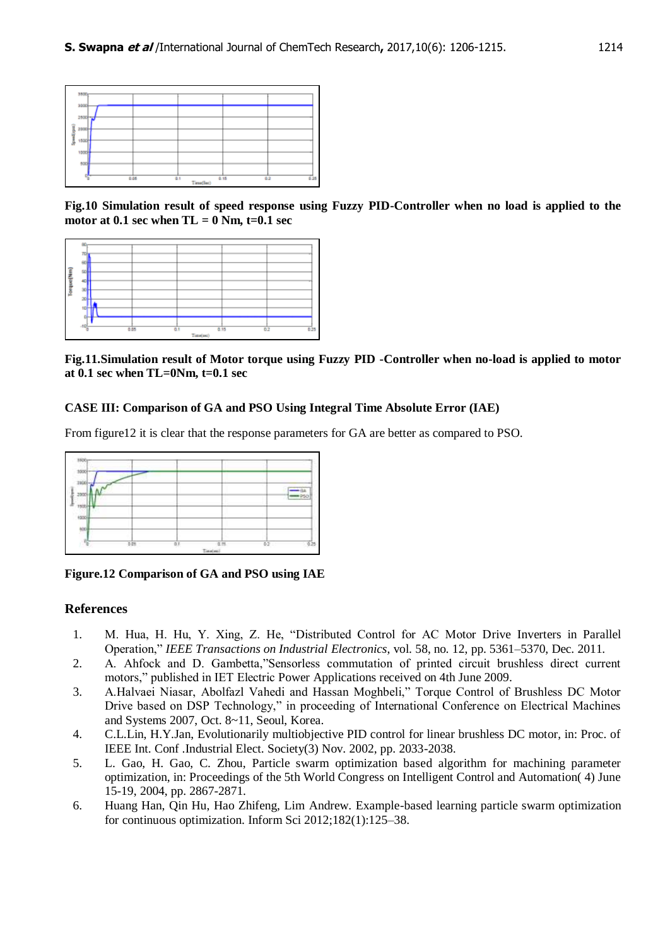| 3800<br>3000 |     |           |     |     |
|--------------|-----|-----------|-----|-----|
| 2500 %       |     |           |     |     |
| я<br>388     |     |           |     |     |
| 1500<br>٠    |     |           |     |     |
| 1000<br>500  |     |           |     |     |
| 啺<br>0.06    | 0.1 | 0.15      | 0.2 | 636 |
|              |     | i wma(lim |     |     |

**Fig.10 Simulation result of speed response using Fuzzy PID-Controller when no load is applied to the**  motor at  $0.1$  sec when  $TL = 0$  Nm,  $t=0.1$  sec

| g<br>Torquey | rok<br>$\overline{\phantom{a}}$<br>-105 | 0.05 | 0.1 | 0.95      | 0.2 | 0.25 |
|--------------|-----------------------------------------|------|-----|-----------|-----|------|
|              |                                         |      |     | Time(sec) |     |      |

**Fig.11.Simulation result of Motor torque using Fuzzy PID -Controller when no-load is applied to motor at 0.1 sec when TL=0Nm, t=0.1 sec**

### **CASE III: Comparison of GA and PSO Using Integral Time Absolute Error (IAE)**

From figure12 it is clear that the response parameters for GA are better as compared to PSO.



**Figure.12 Comparison of GA and PSO using IAE**

## **References**

- 1. M. Hua, H. Hu, Y. Xing, Z. He, "Distributed Control for AC Motor Drive Inverters in Parallel Operation," *IEEE Transactions on Industrial Electronics*, vol. 58, no. 12, pp. 5361–5370, Dec. 2011.
- 2. A. Ahfock and D. Gambetta,"Sensorless commutation of printed circuit brushless direct current motors," published in IET Electric Power Applications received on 4th June 2009.
- 3. A.Halvaei Niasar, Abolfazl Vahedi and Hassan Moghbeli," Torque Control of Brushless DC Motor Drive based on DSP Technology," in proceeding of International Conference on Electrical Machines and Systems 2007, Oct. 8~11, Seoul, Korea.
- 4. C.L.Lin, H.Y.Jan, Evolutionarily multiobjective PID control for linear brushless DC motor, in: Proc. of IEEE Int. Conf .Industrial Elect. Society(3) Nov. 2002, pp. 2033-2038.
- 5. L. Gao, H. Gao, C. Zhou, Particle swarm optimization based algorithm for machining parameter optimization, in: Proceedings of the 5th World Congress on Intelligent Control and Automation( 4) June 15-19, 2004, pp. 2867-2871.
- 6. Huang Han, Qin Hu, Hao Zhifeng, Lim Andrew. Example-based learning particle swarm optimization for continuous optimization. Inform Sci 2012;182(1):125–38.